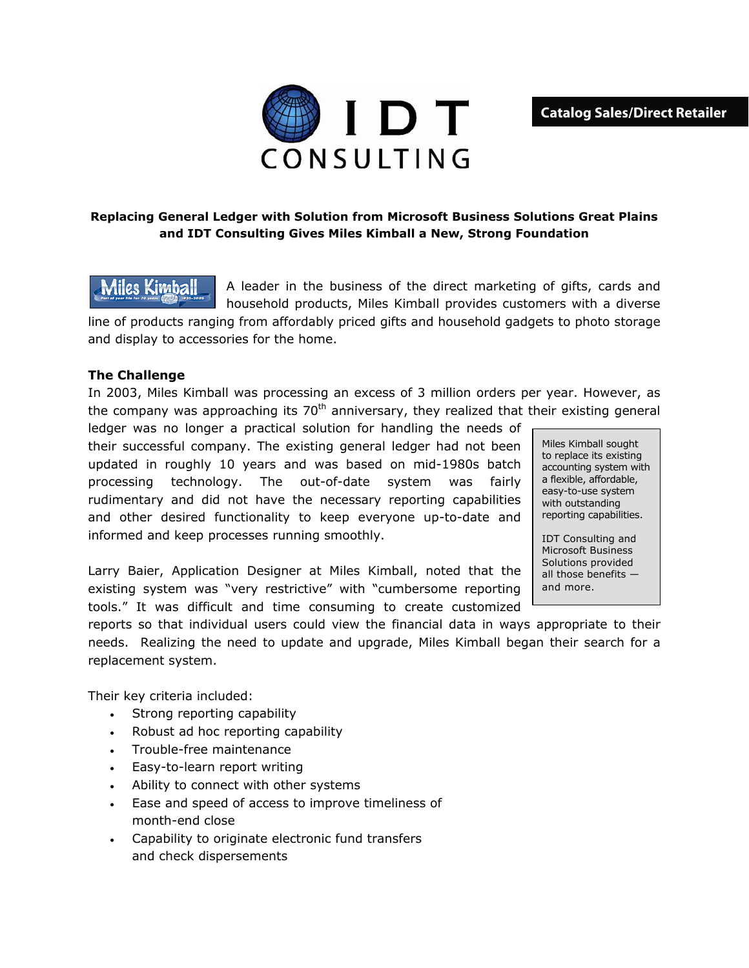**Catalog Sales/Direct Retailer** 



## **Replacing General Ledger with Solution from Microsoft Business Solutions Great Plains and IDT Consulting Gives Miles Kimball a New, Strong Foundation**

A leader in the business of the direct marketing of gifts, cards and Miles Kimball household products, Miles Kimball provides customers with a diverse line of products ranging from affordably priced gifts and household gadgets to photo storage and display to accessories for the home.

## **The Challenge**

In 2003, Miles Kimball was processing an excess of 3 million orders per year. However, as the company was approaching its  $70<sup>th</sup>$  anniversary, they realized that their existing general

ledger was no longer a practical solution for handling the needs of their successful company. The existing general ledger had not been updated in roughly 10 years and was based on mid-1980s batch processing technology. The out-of-date system was fairly rudimentary and did not have the necessary reporting capabilities and other desired functionality to keep everyone up-to-date and informed and keep processes running smoothly.

Larry Baier, Application Designer at Miles Kimball, noted that the existing system was "very restrictive" with "cumbersome reporting tools." It was difficult and time consuming to create customized

Miles Kimball sought to replace its existing accounting system with a flexible, affordable, easy-to-use system with outstanding reporting capabilities.

IDT Consulting and Microsoft Business Solutions provided all those benefits and more.

reports so that individual users could view the financial data in ways appropriate to their needs. Realizing the need to update and upgrade, Miles Kimball began their search for a replacement system.

Their key criteria included:

- Strong reporting capability
- Robust ad hoc reporting capability
- Trouble-free maintenance
- Easy-to-learn report writing
- Ability to connect with other systems
- Ease and speed of access to improve timeliness of month-end close
- Capability to originate electronic fund transfers and check dispersements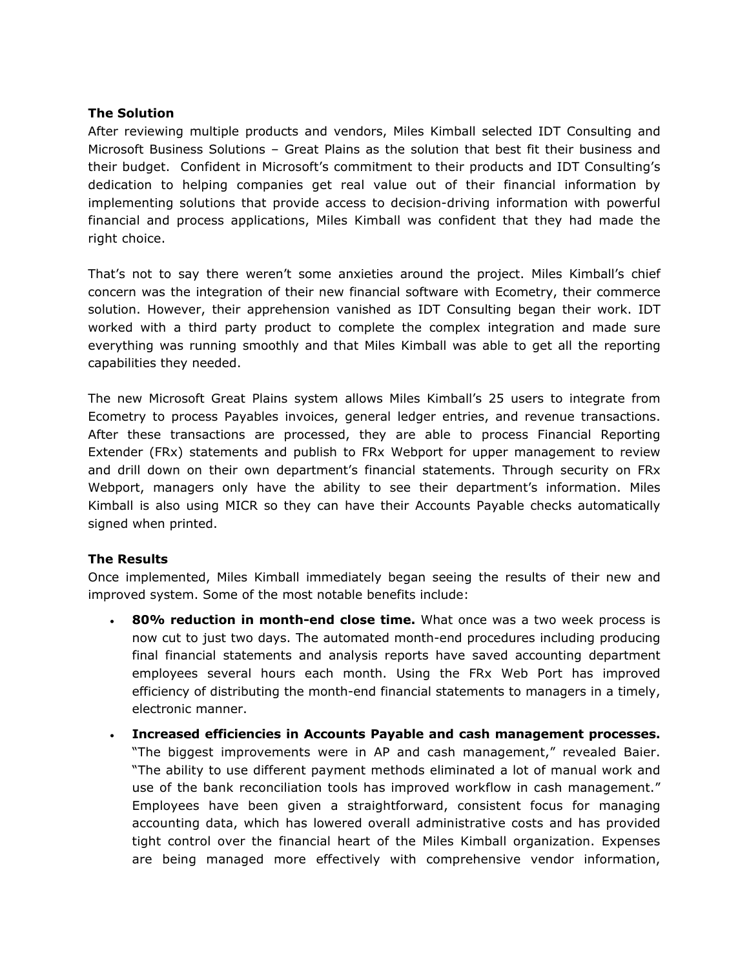## **The Solution**

After reviewing multiple products and vendors, Miles Kimball selected IDT Consulting and Microsoft Business Solutions – Great Plains as the solution that best fit their business and their budget. Confident in Microsoft's commitment to their products and IDT Consulting's dedication to helping companies get real value out of their financial information by implementing solutions that provide access to decision-driving information with powerful financial and process applications, Miles Kimball was confident that they had made the right choice.

That's not to say there weren't some anxieties around the project. Miles Kimball's chief concern was the integration of their new financial software with Ecometry, their commerce solution. However, their apprehension vanished as IDT Consulting began their work. IDT worked with a third party product to complete the complex integration and made sure everything was running smoothly and that Miles Kimball was able to get all the reporting capabilities they needed.

The new Microsoft Great Plains system allows Miles Kimball's 25 users to integrate from Ecometry to process Payables invoices, general ledger entries, and revenue transactions. After these transactions are processed, they are able to process Financial Reporting Extender (FRx) statements and publish to FRx Webport for upper management to review and drill down on their own department's financial statements. Through security on FRx Webport, managers only have the ability to see their department's information. Miles Kimball is also using MICR so they can have their Accounts Payable checks automatically signed when printed.

## **The Results**

Once implemented, Miles Kimball immediately began seeing the results of their new and improved system. Some of the most notable benefits include:

- **80% reduction in month-end close time.** What once was a two week process is now cut to just two days. The automated month-end procedures including producing final financial statements and analysis reports have saved accounting department employees several hours each month. Using the FRx Web Port has improved efficiency of distributing the month-end financial statements to managers in a timely, electronic manner.
- **Increased efficiencies in Accounts Payable and cash management processes.**  "The biggest improvements were in AP and cash management," revealed Baier. "The ability to use different payment methods eliminated a lot of manual work and use of the bank reconciliation tools has improved workflow in cash management." Employees have been given a straightforward, consistent focus for managing accounting data, which has lowered overall administrative costs and has provided tight control over the financial heart of the Miles Kimball organization. Expenses are being managed more effectively with comprehensive vendor information,